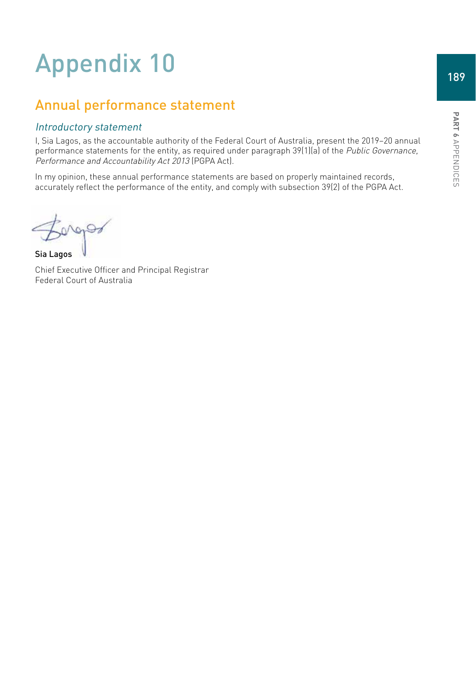# Appendix 10

# Annual performance statement

## Introductory statement

I, Sia Lagos, as the accountable authority of the Federal Court of Australia, present the 2019–20 annual performance statements for the entity, as required under paragraph 39(1)(a) of the Public Governance, Performance and Accountability Act 2013 (PGPA Act).

In my opinion, these annual performance statements are based on properly maintained records, accurately reflect the performance of the entity, and comply with subsection 39(2) of the PGPA Act.

 $997$ 

Sia Lagos

Chief Executive Officer and Principal Registrar Federal Court of Australia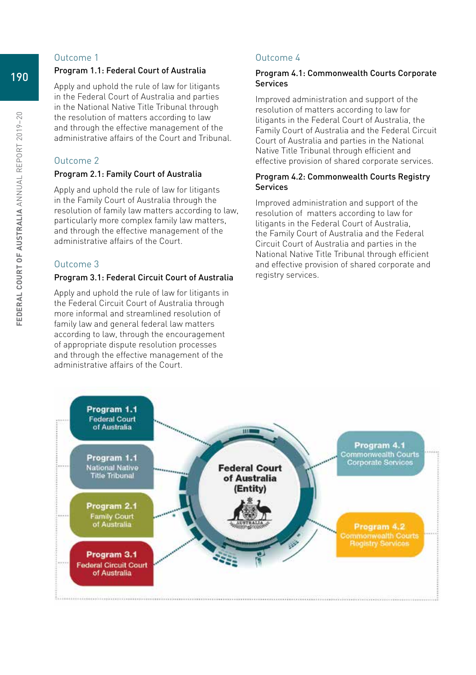#### Outcome 1

#### Program 1.1: Federal Court of Australia

Apply and uphold the rule of law for litigants in the Federal Court of Australia and parties in the National Native Title Tribunal through the resolution of matters according to law and through the effective management of the administrative affairs of the Court and Tribunal.

## Outcome 2

#### Program 2.1: Family Court of Australia

Apply and uphold the rule of law for litigants in the Family Court of Australia through the resolution of family law matters according to law, particularly more complex family law matters, and through the effective management of the administrative affairs of the Court.

## Outcome 3

#### Program 3.1: Federal Circuit Court of Australia

Apply and uphold the rule of law for litigants in the Federal Circuit Court of Australia through more informal and streamlined resolution of family law and general federal law matters according to law, through the encouragement of appropriate dispute resolution processes and through the effective management of the administrative affairs of the Court.

## Outcome 4

#### Program 4.1: Commonwealth Courts Corporate Services

Improved administration and support of the resolution of matters according to law for litigants in the Federal Court of Australia, the Family Court of Australia and the Federal Circuit Court of Australia and parties in the National Native Title Tribunal through efficient and effective provision of shared corporate services.

#### Program 4.2: Commonwealth Courts Registry Services

Improved administration and support of the resolution of matters according to law for litigants in the Federal Court of Australia, the Family Court of Australia and the Federal Circuit Court of Australia and parties in the National Native Title Tribunal through efficient and effective provision of shared corporate and registry services.

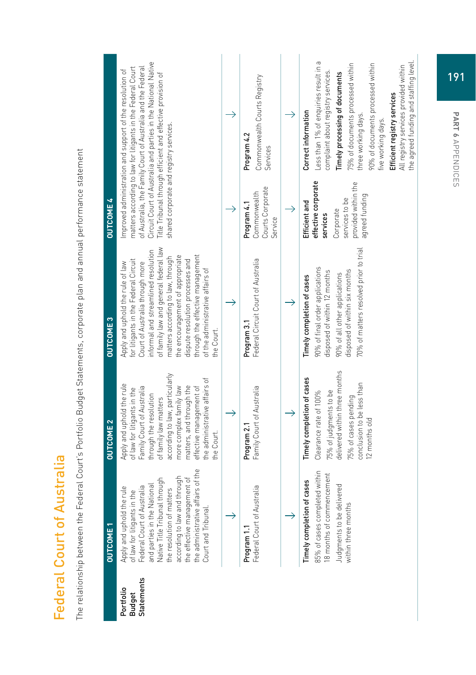| I<br>D<br>Ī                                                       |
|-------------------------------------------------------------------|
| ı                                                                 |
| l<br>t<br>ö<br>i                                                  |
|                                                                   |
| ֖֖֧֚֚֚֚֚֚֚֚֚֚֚֚֚֚֚֚֚֚֚֚֚֚֚֚֚֚֚֚֬֝֝֝֡֡֡֡֡֡֬֝֬֝֓֞֬֝֬֝֓֞֬֝֓֬֝֓֬<br>J |
|                                                                   |
| I                                                                 |
|                                                                   |
| t<br>١                                                            |
|                                                                   |
| ţ                                                                 |
| j                                                                 |
| l<br>J                                                            |
| ۱<br>C                                                            |
|                                                                   |
| ١<br>ä                                                            |
| ו<br>ו                                                            |
| j                                                                 |
| l<br>j<br>ı                                                       |
| j<br>C                                                            |
| Ī<br>I                                                            |
| i                                                                 |

The relationship between the Federal Court's Portfolio Budget Statements, corporate plan and annual performance statement The relationship between the Federal Court's Portfolio Budget Statements, corporate plan and annual performance statement

|                                                 | <b>OUTCOME1</b>                                                                                                                                                                                                                                                                                                  | <b>OUTCOME 2</b>                                                                                                                                                                                                                                                                                            | <b>OUTCOME3</b>                                                                                                                                                                                                                                                                                                                                                                                | <b>OUTCOME 4</b>                                                                                                         |                                                                                                                                                                                                                                                                                                                                                                              |
|-------------------------------------------------|------------------------------------------------------------------------------------------------------------------------------------------------------------------------------------------------------------------------------------------------------------------------------------------------------------------|-------------------------------------------------------------------------------------------------------------------------------------------------------------------------------------------------------------------------------------------------------------------------------------------------------------|------------------------------------------------------------------------------------------------------------------------------------------------------------------------------------------------------------------------------------------------------------------------------------------------------------------------------------------------------------------------------------------------|--------------------------------------------------------------------------------------------------------------------------|------------------------------------------------------------------------------------------------------------------------------------------------------------------------------------------------------------------------------------------------------------------------------------------------------------------------------------------------------------------------------|
| <b>Statements</b><br>Portfolio<br><b>Budget</b> | e4<br>Native Title Tribunal through<br>according to law and through<br>the effective management of<br>the administrative affairs of<br>and parties in the National<br>Federal Court of Australia<br>Apply and uphold the rule<br>the resolution of matters<br>of law for litigants in the<br>Court and Tribunal. | according to law, particularly<br>the administrative affairs of<br>Apply and uphold the rule<br>matters, and through the<br>Family Court of Australia<br>more complex family law<br>effective management of<br>of law for litigants in the<br>through the resolution<br>of family law matters<br>the Court. | of family law and general federal law<br>informal and streamlined resolution<br>through the effective management<br>the encouragement of appropriate<br>matters according to law, through<br>for litigants in the Federal Circuit<br>dispute resolution processes and<br>Apply and uphold the rule of law<br>Court of Australia through more<br>of the administrative affairs of<br>the Court. | shared corporate and registry services.                                                                                  | Circuit Court of Australia and parties in the National Native<br>matters according to law for litigants in the Federal Court<br>of Australia, the Family Court of Australia and the Federal<br>Improved administration and support of the resolution of<br>Title Tribunal through efficient and effective provision of                                                       |
|                                                 |                                                                                                                                                                                                                                                                                                                  |                                                                                                                                                                                                                                                                                                             |                                                                                                                                                                                                                                                                                                                                                                                                |                                                                                                                          |                                                                                                                                                                                                                                                                                                                                                                              |
|                                                 | Federal Court of Australia<br>Program 1.1                                                                                                                                                                                                                                                                        | Family Court of Australia<br>Program 2.1                                                                                                                                                                                                                                                                    | Federal Circuit Court of Australia<br>Program 3.1                                                                                                                                                                                                                                                                                                                                              | Courts Corporate<br>Commonwealth<br>Program 4.1<br>Service                                                               | Commonwealth Courts Registry<br>Program 4.2<br>Services                                                                                                                                                                                                                                                                                                                      |
|                                                 |                                                                                                                                                                                                                                                                                                                  |                                                                                                                                                                                                                                                                                                             |                                                                                                                                                                                                                                                                                                                                                                                                | $\rightarrow$                                                                                                            |                                                                                                                                                                                                                                                                                                                                                                              |
|                                                 | 85% of cases completed within<br>18 months of commencement<br>Timely completion of cases<br>Judgments to be delivered<br>within three months                                                                                                                                                                     | delivered within three months<br>Timely completion of cases<br>conclusion to be less than<br>75% of judgments to be<br>Clearance rate of 100%<br>75% of cases pending<br>12 months old                                                                                                                      | 70% of matters resolved prior to trial<br>90% of final order applications<br>disposed of within six months<br>disposed of within 12 months<br>90% of all other applications<br>Timely completion of cases                                                                                                                                                                                      | effective corporate<br>provided within the<br>agreed funding<br>services to be<br>Efficient and<br>Corporate<br>services | Less than 1% of enquiries result in a<br>the agreed funding and staffing level<br>75% of documents processed within<br>90% of documents processed within<br>All registry services provided within<br>complaint about registry services.<br>Timely processing of documents<br>Efficient registry services<br>Correct information<br>three working days.<br>five working days. |

191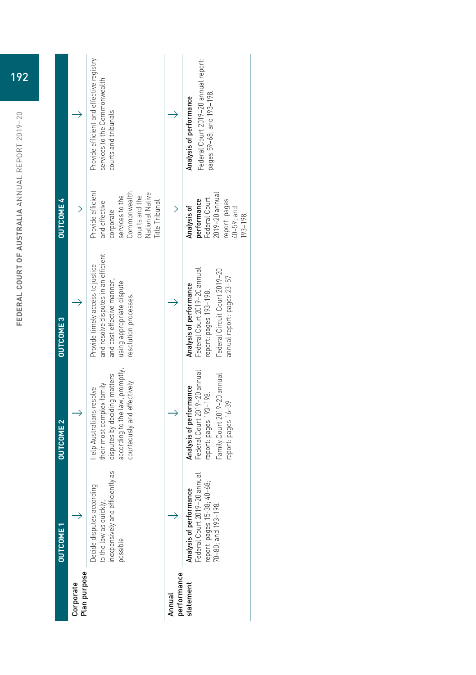| <b>OUTCOME 2</b><br><b>OUTCOME1</b> | Plan purpose<br>Corporate | GS<br>inexpensively and efficiently<br>Decide disputes according<br>to the law as quickly,<br>possible                                                       | performance<br>Annual | report: pages 16-39<br>$\overline{\mathbb{Q}}$<br>Federal Court 2019-20 annu<br>report: pages 15-38; 40-68;<br>70-80; and 193-198.<br>Analysis of performance<br>statement |
|-------------------------------------|---------------------------|--------------------------------------------------------------------------------------------------------------------------------------------------------------|-----------------------|----------------------------------------------------------------------------------------------------------------------------------------------------------------------------|
|                                     |                           | according to the law, promptly,<br>disputes by deciding matters<br>courteously and effectively<br>their most complex family<br>Help Australians resolve      |                       | Federal Court 2019-20 annual<br>Family Court 2019-20 annual<br>Analysis of performance<br>report: pages 193-198.                                                           |
| <b>OUTCOME3</b>                     |                           | and resolve disputes in an efficient<br>Provide timely access to justice<br>and cost effective manner,<br>using appropriate dispute<br>resolution processes. |                       | Federal Court 2019-20 annual<br>Federal Circuit Court 2019-20<br>annual report: pages 23-57<br>Analysis of performance<br>report: pages 193-198.                           |
| <b>OUTCOME 4</b>                    |                           | Provide efficient<br>Commonwealth<br>National Native<br>services to the<br>courts and the<br>Title Tribunal<br>and effective<br>corporate                    |                       | $2019 - 20$ annual<br>Federal Court<br>report: pages<br>performance<br>Analysis of<br>40-59; and<br>$193 - 198$                                                            |
|                                     |                           | Provide efficient and effective registry<br>services to the Commonwealth<br>courts and tribunals                                                             |                       | Federal Court 2019-20 annual report:<br>pages 59-68; and 193-198.<br>Analysis of performance                                                                               |

| 192 |  |
|-----|--|
|     |  |

**FEDERAL COURT OF AUSTRALIA** ANNUAL REPORT 2019–20

FEDERAL COURT OF AUSTRALIA ANNUAL REPORT 2019-20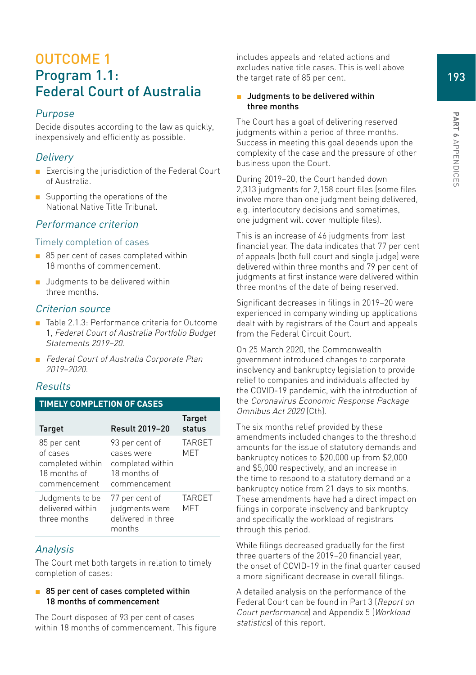193

# OUTCOME 1 Program 1.1: Federal Court of Australia

## Purpose

Decide disputes according to the law as quickly, inexpensively and efficiently as possible.

## **Delivery**

- Exercising the jurisdiction of the Federal Court of Australia.
- Supporting the operations of the National Native Title Tribunal.

## Performance criterion

#### Timely completion of cases

- 85 per cent of cases completed within 18 months of commencement.
- Judaments to be delivered within three months.

#### Criterion source

- Table 2.1.3: Performance criteria for Outcome 1, Federal Court of Australia Portfolio Budget Statements 2019–20.
- Federal Court of Australia Corporate Plan 2019–2020.

## Results

#### **TIMELY COMPLETION OF CASES**

| <b>Target</b>                                                               | <b>Result 2019-20</b>                                                            | <b>Target</b><br>status     |
|-----------------------------------------------------------------------------|----------------------------------------------------------------------------------|-----------------------------|
| 85 per cent<br>of cases<br>completed within<br>18 months of<br>commencement | 93 per cent of<br>cases were<br>completed within<br>18 months of<br>commencement | <b>TARGET</b><br><b>MET</b> |
| Judgments to be<br>delivered within<br>three months                         | 77 per cent of<br>judgments were<br>delivered in three<br>months                 | <b>TARGET</b><br><b>MET</b> |

#### Analysis

The Court met both targets in relation to timely completion of cases:

#### ■ 85 per cent of cases completed within 18 months of commencement

The Court disposed of 93 per cent of cases within 18 months of commencement. This figure includes appeals and related actions and excludes native title cases. This is well above the target rate of 85 per cent.

#### ■ Judgments to be delivered within three months

The Court has a goal of delivering reserved judgments within a period of three months. Success in meeting this goal depends upon the complexity of the case and the pressure of other business upon the Court.

During 2019–20, the Court handed down 2,313 judgments for 2,158 court files (some files involve more than one judgment being delivered, e.g. interlocutory decisions and sometimes, one judgment will cover multiple files).

This is an increase of 46 judgments from last financial year. The data indicates that 77 per cent of appeals (both full court and single judge) were delivered within three months and 79 per cent of judgments at first instance were delivered within three months of the date of being reserved.

Significant decreases in filings in 2019–20 were experienced in company winding up applications dealt with by registrars of the Court and appeals from the Federal Circuit Court.

On 25 March 2020, the Commonwealth government introduced changes to corporate insolvency and bankruptcy legislation to provide relief to companies and individuals affected by the COVID-19 pandemic, with the introduction of the Coronavirus Economic Response Package Omnibus Act 2020 (Cth).

The six months relief provided by these amendments included changes to the threshold amounts for the issue of statutory demands and bankruptcy notices to \$20,000 up from \$2,000 and \$5,000 respectively, and an increase in the time to respond to a statutory demand or a bankruptcy notice from 21 days to six months. These amendments have had a direct impact on filings in corporate insolvency and bankruptcy and specifically the workload of registrars through this period.

While filings decreased gradually for the first three quarters of the 2019–20 financial year, the onset of COVID-19 in the final quarter caused a more significant decrease in overall filings.

A detailed analysis on the performance of the Federal Court can be found in Part 3 (Report on Court performance) and Appendix 5 (Workload statistics) of this report.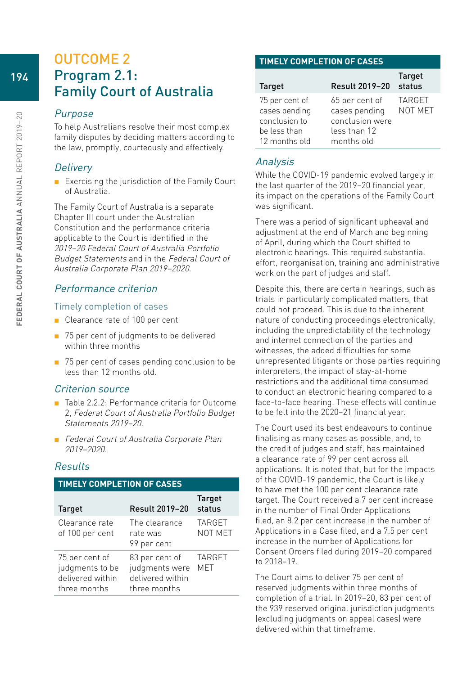## OUTCOME 2 Program 2.1: Family Court of Australia

#### Purpose

To help Australians resolve their most complex family disputes by deciding matters according to the law, promptly, courteously and effectively.

## **Delivery**

■ Exercising the jurisdiction of the Family Court of Australia.

The Family Court of Australia is a separate Chapter III court under the Australian Constitution and the performance criteria applicable to the Court is identified in the 2019–20 Federal Court of Australia Portfolio Budget Statements and in the Federal Court of Australia Corporate Plan 2019–2020.

## Performance criterion

#### Timely completion of cases

- Clearance rate of 100 per cent
- 75 per cent of judgments to be delivered within three months
- 75 per cent of cases pending conclusion to be less than 12 months old.

#### Criterion source

- Table 2.2.2: Performance criteria for Outcome 2, Federal Court of Australia Portfolio Budget Statements 2019–20.
- Federal Court of Australia Corporate Plan 2019–2020.

## Results

| <b>TIMELY COMPLETION OF CASES</b>                                     |                                                                      |                          |  |  |
|-----------------------------------------------------------------------|----------------------------------------------------------------------|--------------------------|--|--|
| <b>Target</b>                                                         | <b>Result 2019-20</b>                                                | <b>Target</b><br>status  |  |  |
| Clearance rate<br>of 100 per cent                                     | The clearance<br>rate was<br>99 per cent                             | <b>TARGET</b><br>NOT MET |  |  |
| 75 per cent of<br>judgments to be<br>delivered within<br>three months | 83 per cent of<br>judgments were<br>delivered within<br>three months | <b>TARGET</b><br>MET     |  |  |

#### **TIMELY COMPLETION OF CASES**

| <b>Target</b>                                                                     | Result 2019-20                                                                   | <b>Target</b><br>status  |
|-----------------------------------------------------------------------------------|----------------------------------------------------------------------------------|--------------------------|
| 75 per cent of<br>cases pending<br>conclusion to<br>be less than<br>12 months old | 65 per cent of<br>cases pending<br>conclusion were<br>less than 12<br>months old | <b>TARGET</b><br>NOT MET |

## Analysis

While the COVID-19 pandemic evolved largely in the last quarter of the 2019–20 financial year, its impact on the operations of the Family Court was significant.

There was a period of significant upheaval and adjustment at the end of March and beginning of April, during which the Court shifted to electronic hearings. This required substantial effort, reorganisation, training and administrative work on the part of judges and staff.

Despite this, there are certain hearings, such as trials in particularly complicated matters, that could not proceed. This is due to the inherent nature of conducting proceedings electronically, including the unpredictability of the technology and internet connection of the parties and witnesses, the added difficulties for some unrepresented litigants or those parties requiring interpreters, the impact of stay-at-home restrictions and the additional time consumed to conduct an electronic hearing compared to a face-to-face hearing. These effects will continue to be felt into the 2020–21 financial year.

The Court used its best endeavours to continue finalising as many cases as possible, and, to the credit of judges and staff, has maintained a clearance rate of 99 per cent across all applications. It is noted that, but for the impacts of the COVID-19 pandemic, the Court is likely to have met the 100 per cent clearance rate target. The Court received a 7 per cent increase in the number of Final Order Applications filed, an 8.2 per cent increase in the number of Applications in a Case filed, and a 7.5 per cent increase in the number of Applications for Consent Orders filed during 2019–20 compared to 2018–19.

The Court aims to deliver 75 per cent of reserved judgments within three months of completion of a trial. In 2019–20, 83 per cent of the 939 reserved original jurisdiction judgments (excluding judgments on appeal cases) were delivered within that timeframe.

194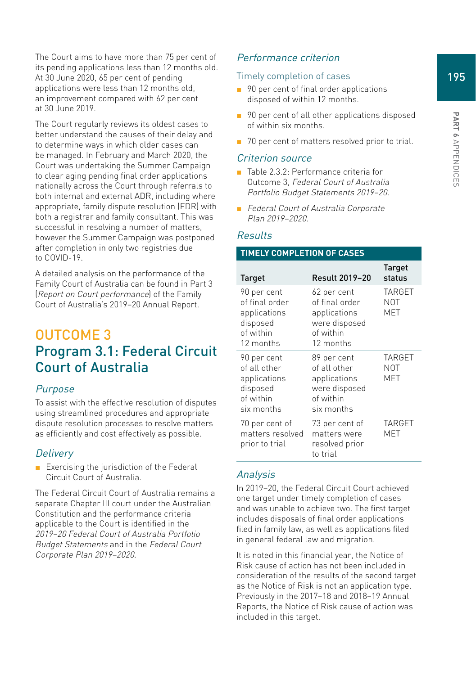The Court aims to have more than 75 per cent of its pending applications less than 12 months old. At 30 June 2020, 65 per cent of pending applications were less than 12 months old, an improvement compared with 62 per cent at 30 June 2019.

The Court regularly reviews its oldest cases to better understand the causes of their delay and to determine ways in which older cases can be managed. In February and March 2020, the Court was undertaking the Summer Campaign to clear aging pending final order applications nationally across the Court through referrals to both internal and external ADR, including where appropriate, family dispute resolution (FDR) with both a registrar and family consultant. This was successful in resolving a number of matters, however the Summer Campaign was postponed after completion in only two registries due to COVID-19.

A detailed analysis on the performance of the Family Court of Australia can be found in Part 3 (Report on Court performance) of the Family Court of Australia's 2019–20 Annual Report.

# OUTCOME 3 Program 3.1: Federal Circuit Court of Australia

#### Purpose

To assist with the effective resolution of disputes using streamlined procedures and appropriate dispute resolution processes to resolve matters as efficiently and cost effectively as possible.

#### **Delivery**

■ Exercising the jurisdiction of the Federal Circuit Court of Australia.

The Federal Circuit Court of Australia remains a separate Chapter III court under the Australian Constitution and the performance criteria applicable to the Court is identified in the 2019–20 Federal Court of Australia Portfolio Budget Statements and in the Federal Court Corporate Plan 2019–2020.

## Performance criterion

#### Timely completion of cases

- 90 per cent of final order applications disposed of within 12 months.
- 90 per cent of all other applications disposed of within six months.
- 70 per cent of matters resolved prior to trial.

#### Criterion source

- Table 2.3.2: Performance criteria for Outcome 3, Federal Court of Australia Portfolio Budget Statements 2019–20.
- Federal Court of Australia Corporate Plan 2019–2020.

#### Results

#### **TIMELY COMPLETION OF CASES**

| Target                                                                              | <b>Result 2019-20</b>                                                                    | Target<br>status                   |
|-------------------------------------------------------------------------------------|------------------------------------------------------------------------------------------|------------------------------------|
| 90 per cent<br>of final order<br>applications<br>disposed<br>of within<br>12 months | 62 per cent<br>of final order<br>applications<br>were disposed<br>of within<br>12 months | <b>TARGET</b><br><b>NOT</b><br>MET |
| 90 per cent<br>of all other<br>applications<br>disposed<br>of within<br>six months  | 89 per cent<br>of all other<br>applications<br>were disposed<br>of within<br>six months  | <b>TARGET</b><br><b>NOT</b><br>MET |
| 70 per cent of<br>matters resolved<br>prior to trial                                | 73 per cent of<br>matters were<br>resolved prior<br>to trial                             | TARGET<br>MET                      |

## Analysis

In 2019–20, the Federal Circuit Court achieved one target under timely completion of cases and was unable to achieve two. The first target includes disposals of final order applications filed in family law, as well as applications filed in general federal law and migration.

It is noted in this financial year, the Notice of Risk cause of action has not been included in consideration of the results of the second target as the Notice of Risk is not an application type. Previously in the 2017–18 and 2018–19 Annual Reports, the Notice of Risk cause of action was included in this target.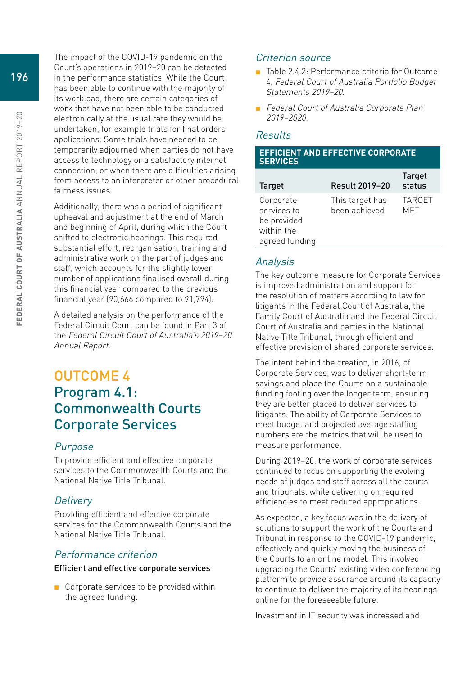The impact of the COVID-19 pandemic on the Court's operations in 2019–20 can be detected in the performance statistics. While the Court has been able to continue with the majority of its workload, there are certain categories of work that have not been able to be conducted electronically at the usual rate they would be undertaken, for example trials for final orders applications. Some trials have needed to be temporarily adjourned when parties do not have access to technology or a satisfactory internet connection, or when there are difficulties arising from access to an interpreter or other procedural fairness issues.

Additionally, there was a period of significant upheaval and adjustment at the end of March and beginning of April, during which the Court shifted to electronic hearings. This required substantial effort, reorganisation, training and administrative work on the part of judges and staff, which accounts for the slightly lower number of applications finalised overall during this financial year compared to the previous financial year (90,666 compared to 91,794).

A detailed analysis on the performance of the Federal Circuit Court can be found in Part 3 of the Federal Circuit Court of Australia's 2019–20 Annual Report.

# OUTCOME 4 Program 4.1: Commonwealth Courts Corporate Services

## Purpose

To provide efficient and effective corporate services to the Commonwealth Courts and the National Native Title Tribunal.

## **Delivery**

Providing efficient and effective corporate services for the Commonwealth Courts and the National Native Title Tribunal.

## Performance criterion

#### Efficient and effective corporate services

■ Corporate services to be provided within the agreed funding.

## Criterion source

- Table 2.4.2: Performance criteria for Outcome 4, Federal Court of Australia Portfolio Budget Statements 2019–20.
- Federal Court of Australia Corporate Plan 2019–2020.

## Results

#### **EFFICIENT AND EFFECTIVE CORPORATE SERVICES**

| <b>Target</b>                                                           | <b>Result 2019-20</b>            | <b>Target</b><br>status |
|-------------------------------------------------------------------------|----------------------------------|-------------------------|
| Corporate<br>services to<br>be provided<br>within the<br>agreed funding | This target has<br>been achieved | <b>TARGET</b><br>MFT    |

## Analysis

The key outcome measure for Corporate Services is improved administration and support for the resolution of matters according to law for litigants in the Federal Court of Australia, the Family Court of Australia and the Federal Circuit Court of Australia and parties in the National Native Title Tribunal, through efficient and effective provision of shared corporate services.

The intent behind the creation, in 2016, of Corporate Services, was to deliver short-term savings and place the Courts on a sustainable funding footing over the longer term, ensuring they are better placed to deliver services to litigants. The ability of Corporate Services to meet budget and projected average staffing numbers are the metrics that will be used to measure performance.

During 2019–20, the work of corporate services continued to focus on supporting the evolving needs of judges and staff across all the courts and tribunals, while delivering on required efficiencies to meet reduced appropriations.

As expected, a key focus was in the delivery of solutions to support the work of the Courts and Tribunal in response to the COVID-19 pandemic, effectively and quickly moving the business of the Courts to an online model. This involved upgrading the Courts' existing video conferencing platform to provide assurance around its capacity to continue to deliver the majority of its hearings online for the foreseeable future.

Investment in IT security was increased and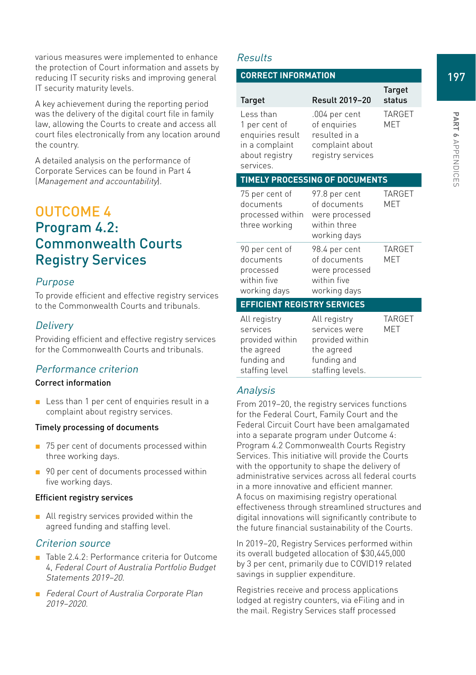various measures were implemented to enhance the protection of Court information and assets by reducing IT security risks and improving general IT security maturity levels.

A key achievement during the reporting period was the delivery of the digital court file in family law, allowing the Courts to create and access all court files electronically from any location around the country.

A detailed analysis on the performance of Corporate Services can be found in Part 4 (Management and accountability).

# OUTCOME 4 Program 4.2: Commonwealth Courts Registry Services

## Purpose

To provide efficient and effective registry services to the Commonwealth Courts and tribunals.

## **Delivery**

Providing efficient and effective registry services for the Commonwealth Courts and tribunals.

#### Performance criterion

#### Correct information

■ Less than 1 per cent of enquiries result in a complaint about registry services.

#### Timely processing of documents

- 75 per cent of documents processed within three working days.
- 90 per cent of documents processed within five working days.

#### Efficient registry services

■ All registry services provided within the agreed funding and staffing level.

#### Criterion source

- Table 2.4.2: Performance criteria for Outcome 4, Federal Court of Australia Portfolio Budget Statements 2019–20.
- Federal Court of Australia Corporate Plan 2019–2020.

#### Results

#### **CORRECT INFORMATION**

| <b>Target</b>                                                                                   | <b>Result 2019-20</b>                                                                             | <b>Target</b><br>status |
|-------------------------------------------------------------------------------------------------|---------------------------------------------------------------------------------------------------|-------------------------|
| Less than<br>1 per cent of<br>enquiries result<br>in a complaint<br>about registry<br>services. | .004 per cent<br>of enquiries<br>resulted in a<br>complaint about<br>registry services            | <b>TARGET</b><br>MET    |
|                                                                                                 | <b>TIMELY PROCESSING OF DOCUMENTS</b>                                                             |                         |
| 75 per cent of<br>documents<br>processed within<br>three working                                | 97.8 per cent<br>of documents<br>were processed<br>within three<br>working days                   | <b>TARGET</b><br>MET    |
| 90 per cent of<br>documents<br>processed<br>within five<br>working days                         | 98.4 per cent<br>of documents<br>were processed<br>within five<br>working days                    | <b>TARGET</b><br>MET    |
| <b>EFFICIENT REGISTRY SERVICES</b>                                                              |                                                                                                   |                         |
| All registry<br>services<br>provided within<br>the agreed<br>funding and<br>staffing level      | All registry<br>services were<br>provided within<br>the agreed<br>funding and<br>staffing levels. | <b>TARGET</b><br>MET    |

## Analysis

From 2019–20, the registry services functions for the Federal Court, Family Court and the Federal Circuit Court have been amalgamated into a separate program under Outcome 4: Program 4.2 Commonwealth Courts Registry Services. This initiative will provide the Courts with the opportunity to shape the delivery of administrative services across all federal courts in a more innovative and efficient manner. A focus on maximising registry operational effectiveness through streamlined structures and digital innovations will significantly contribute to the future financial sustainability of the Courts.

In 2019–20, Registry Services performed within its overall budgeted allocation of \$30,445,000 by 3 per cent, primarily due to COVID19 related savings in supplier expenditure.

Registries receive and process applications lodged at registry counters, via eFiling and in the mail. Registry Services staff processed